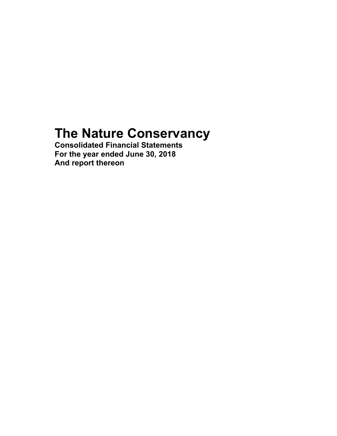# **The Nature Conservancy**

**Consolidated Financial Statements For the year ended June 30, 2018 And report thereon**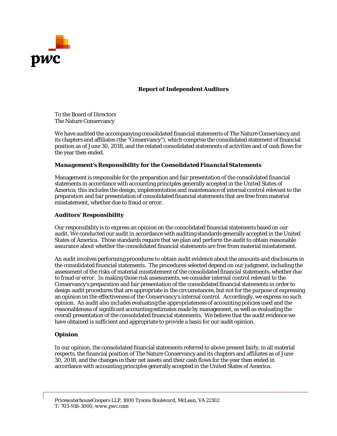

# **Report of Independent Auditors**

To the Board of Directors The Nature Conservancy

We have audited the accompanying consolidated financial statements of The Nature Conservancy and its chapters and affiliates (the "Conservancy"), which comprise the consolidated statement of financial position as of June 30, 2018, and the related consolidated statements of activities and of cash flows for the year then ended.

## *Management's Responsibility for the Consolidated Financial Statements*

Management is responsible for the preparation and fair presentation of the consolidated financial statements in accordance with accounting principles generally accepted in the United States of America; this includes the design, implementation and maintenance of internal control relevant to the preparation and fair presentation of consolidated financial statements that are free from material misstatement, whether due to fraud or error.

## *Auditors' Responsibility*

Our responsibility is to express an opinion on the consolidated financial statements based on our audit. We conducted our audit in accordance with auditing standards generally accepted in the United States of America. Those standards require that we plan and perform the audit to obtain reasonable assurance about whether the consolidated financial statements are free from material misstatement.

An audit involves performing procedures to obtain audit evidence about the amounts and disclosures in the consolidated financial statements. The procedures selected depend on our judgment, including the assessment of the risks of material misstatement of the consolidated financial statements, whether due to fraud or error. In making those risk assessments, we consider internal control relevant to the Conservancy's preparation and fair presentation of the consolidated financial statements in order to design audit procedures that are appropriate in the circumstances, but not for the purpose of expressing an opinion on the effectiveness of the Conservancy's internal control. Accordingly, we express no such opinion. An audit also includes evaluating the appropriateness of accounting policies used and the reasonableness of significant accounting estimates made by management, as well as evaluating the overall presentation of the consolidated financial statements. We believe that the audit evidence we have obtained is sufficient and appropriate to provide a basis for our audit opinion.

# *Opinion*

In our opinion, the consolidated financial statements referred to above present fairly, in all material respects, the financial position of The Nature Conservancy and its chapters and affiliates as of June 30, 2018, and the changes in their net assets and their cash flows for the year then ended in accordance with accounting principles generally accepted in the United States of America.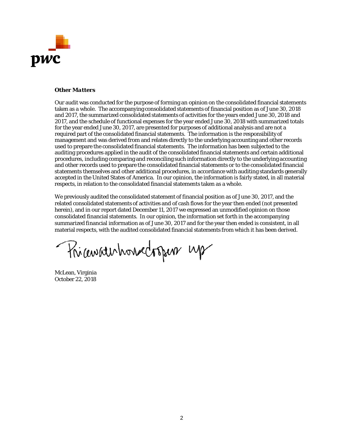

#### *Other Matters*

Our audit was conducted for the purpose of forming an opinion on the consolidated financial statements taken as a whole. The accompanying consolidated statements of financial position as of June 30, 2018 and 2017, the summarized consolidated statements of activities for the years ended June 30, 2018 and 2017, and the schedule of functional expenses for the year ended June 30, 2018 with summarized totals for the year ended June 30, 2017, are presented for purposes of additional analysis and are not a required part of the consolidated financial statements. The information is the responsibility of management and was derived from and relates directly to the underlying accounting and other records used to prepare the consolidated financial statements. The information has been subjected to the auditing procedures applied in the audit of the consolidated financial statements and certain additional procedures, including comparing and reconciling such information directly to the underlying accounting and other records used to prepare the consolidated financial statements or to the consolidated financial statements themselves and other additional procedures, in accordance with auditing standards generally accepted in the United States of America. In our opinion, the information is fairly stated, in all material respects, in relation to the consolidated financial statements taken as a whole.

We previously audited the consolidated statement of financial position as of June 30, 2017, and the related consolidated statements of activities and of cash flows for the year then ended (not presented herein), and in our report dated December 11, 2017 we expressed an unmodified opinion on those consolidated financial statements. In our opinion, the information set forth in the accompanying summarized financial information as of June 30, 2017 and for the year then ended is consistent, in all material respects, with the audited consolidated financial statements from which it has been derived.

Phicavaterhorsectopers up

McLean, Virginia October 22, 2018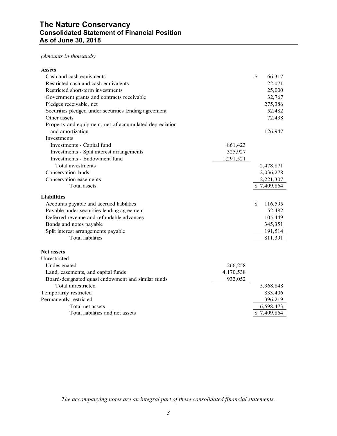# **The Nature Conservancy Consolidated Statement of Financial Position As of June 30, 2018**

*(Amounts in thousands)*

| Assets                                                                      |           |                        |
|-----------------------------------------------------------------------------|-----------|------------------------|
| Cash and cash equivalents                                                   |           | \$<br>66,317           |
| Restricted cash and cash equivalents                                        |           | 22,071                 |
| Restricted short-term investments                                           |           | 25,000                 |
| Government grants and contracts receivable                                  |           | 32,767                 |
| Pledges receivable, net                                                     |           | 275,386                |
| Securities pledged under securities lending agreement                       |           | 52,482                 |
| Other assets                                                                |           | 72,438                 |
| Property and equipment, net of accumulated depreciation<br>and amortization |           | 126,947                |
| Investments                                                                 |           |                        |
| Investments - Capital fund                                                  | 861,423   |                        |
| Investments - Split interest arrangements                                   | 325,927   |                        |
| Investments - Endowment fund                                                | 1,291,521 |                        |
| Total investments                                                           |           | 2,478,871              |
| Conservation lands                                                          |           | 2,036,278              |
| Conservation easements                                                      |           | 2,221,307              |
| Total assets                                                                |           | \$7,409,864            |
| <b>Liabilities</b>                                                          |           |                        |
| Accounts payable and accrued liabilities                                    |           | $\mathbf S$<br>116,595 |
| Payable under securities lending agreement                                  |           | 52,482                 |
| Deferred revenue and refundable advances                                    |           | 105,449                |
| Bonds and notes payable                                                     |           | 345,351                |
| Split interest arrangements payable                                         |           | 191,514                |
| <b>Total liabilities</b>                                                    |           | 811,391                |
| <b>Net assets</b>                                                           |           |                        |
| Unrestricted                                                                |           |                        |
| Undesignated                                                                | 266,258   |                        |
| Land, easements, and capital funds                                          | 4,170,538 |                        |
| Board-designated quasi endowment and similar funds                          | 932,052   |                        |
| Total unrestricted                                                          |           | 5,368,848              |
| Temporarily restricted                                                      |           | 833,406                |
| Permanently restricted                                                      |           | 396,219                |
| Total net assets                                                            |           | 6,598,473              |
| Total liabilities and net assets                                            |           | \$7,409,864            |

*The accompanying notes are an integral part of these consolidated financial statements.*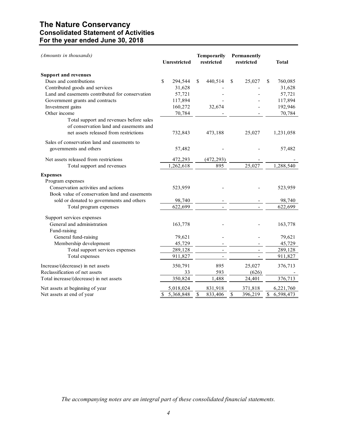# **The Nature Conservancy Consolidated Statement of Activities For the year ended June 30, 2018**

| (Amounts in thousands)                          |              | Unrestricted |              | Temporarily<br>restricted | Permanently<br>restricted | <b>Total</b>    |
|-------------------------------------------------|--------------|--------------|--------------|---------------------------|---------------------------|-----------------|
| <b>Support and revenues</b>                     |              |              |              |                           |                           |                 |
| Dues and contributions                          | \$           | 294,544      | \$           | 440,514                   | \$<br>25,027              | \$<br>760,085   |
| Contributed goods and services                  |              | 31,628       |              |                           |                           | 31,628          |
| Land and easements contributed for conservation |              | 57,721       |              |                           |                           | 57,721          |
| Government grants and contracts                 |              | 117,894      |              |                           |                           | 117,894         |
| Investment gains                                |              | 160,272      |              | 32,674                    |                           | 192,946         |
| Other income                                    |              | 70,784       |              |                           |                           | 70,784          |
| Total support and revenues before sales         |              |              |              |                           |                           |                 |
| of conservation land and easements and          |              |              |              |                           |                           |                 |
| net assets released from restrictions           |              | 732,843      |              | 473,188                   | 25,027                    | 1,231,058       |
| Sales of conservation land and easements to     |              |              |              |                           |                           |                 |
| governments and others                          |              | 57,482       |              |                           |                           | 57,482          |
| Net assets released from restrictions           |              | 472,293      |              | (472, 293)                |                           |                 |
| Total support and revenues                      |              | 1,262,618    |              | 895                       | 25,027                    | 1,288,540       |
| <b>Expenses</b>                                 |              |              |              |                           |                           |                 |
| Program expenses                                |              |              |              |                           |                           |                 |
| Conservation activities and actions             |              | 523,959      |              |                           |                           | 523,959         |
| Book value of conservation land and easements   |              |              |              |                           |                           |                 |
| sold or donated to governments and others       |              | 98,740       |              |                           |                           | 98,740          |
| Total program expenses                          |              | 622,699      |              |                           |                           | 622,699         |
| Support services expenses                       |              |              |              |                           |                           |                 |
| General and administration                      |              | 163,778      |              |                           |                           | 163,778         |
| Fund-raising                                    |              |              |              |                           |                           |                 |
| General fund-raising                            |              | 79,621       |              |                           |                           | 79,621          |
| Membership development                          |              | 45,729       |              |                           |                           | 45,729          |
| Total support services expenses                 |              | 289,128      |              | $\overline{\phantom{a}}$  | $\overline{\phantom{a}}$  | 289,128         |
| Total expenses                                  |              | 911,827      |              |                           |                           | 911,827         |
| Increase/(decrease) in net assets               |              | 350,791      |              | 895                       | 25,027                    | 376,713         |
| Reclassification of net assets                  |              | 33           |              | 593                       | (626)                     |                 |
| Total increase/(decrease) in net assets         |              | 350,824      |              | 1,488                     | 24,401                    | 376,713         |
| Net assets at beginning of year                 |              | 5,018,024    |              | 831,918                   | 371,818                   | 6,221,760       |
| Net assets at end of year                       | $\mathbb{S}$ | 5,368,848    | $\mathbb{S}$ | 833,406                   | \$<br>396,219             | \$<br>6,598,473 |

*The accompanying notes are an integral part of these consolidated financial statements.*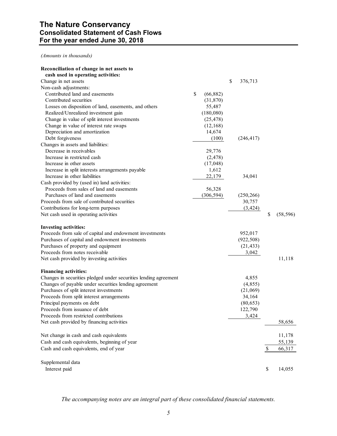# **The Nature Conservancy Consolidated Statement of Cash Flows For the year ended June 30, 2018**

*(Amounts in thousands)*

| Reconciliation of change in net assets to                        |                 |               |             |           |
|------------------------------------------------------------------|-----------------|---------------|-------------|-----------|
| cash used in operating activities:                               |                 |               |             |           |
| Change in net assets                                             |                 | \$<br>376,713 |             |           |
| Non-cash adjustments:                                            |                 |               |             |           |
| Contributed land and easements                                   | \$<br>(66, 882) |               |             |           |
| Contributed securities                                           | (31,870)        |               |             |           |
| Losses on disposition of land, easements, and others             | 55,487          |               |             |           |
| Realized/Unrealized investment gain                              | (180,080)       |               |             |           |
| Change in value of split interest investments                    | (25, 478)       |               |             |           |
| Change in value of interest rate swaps                           | (12, 168)       |               |             |           |
| Depreciation and amortization                                    | 14,674          |               |             |           |
| Debt forgiveness                                                 | (100)           | (246, 417)    |             |           |
| Changes in assets and liabilities:                               |                 |               |             |           |
| Decrease in receivables                                          | 29,776          |               |             |           |
| Increase in restricted cash                                      | (2, 478)        |               |             |           |
| Increase in other assets                                         | (17,048)        |               |             |           |
| Increase in split interests arrangements payable                 | 1,612           |               |             |           |
| Increase in other liabilities                                    | 22,179          | 34,041        |             |           |
| Cash provided by (used in) land activities:                      |                 |               |             |           |
| Proceeds from sales of land and easements                        | 56,328          |               |             |           |
| Purchases of land and easements                                  | (306, 594)      | (250, 266)    |             |           |
| Proceeds from sale of contributed securities                     |                 |               |             |           |
|                                                                  |                 | 30,757        |             |           |
| Contributions for long-term purposes                             |                 | (3, 424)      |             |           |
| Net cash used in operating activities                            |                 |               | \$          | (58, 596) |
| <b>Investing activities:</b>                                     |                 |               |             |           |
| Proceeds from sale of capital and endowment investments          |                 | 952,017       |             |           |
| Purchases of capital and endowment investments                   |                 | (922, 508)    |             |           |
| Purchases of property and equipment                              |                 | (21, 433)     |             |           |
| Proceeds from notes receivable                                   |                 | 3,042         |             |           |
| Net cash provided by investing activities                        |                 |               |             | 11,118    |
| <b>Financing activities:</b>                                     |                 |               |             |           |
| Changes in securities pledged under securities lending agreement |                 | 4,855         |             |           |
| Changes of payable under securities lending agreement            |                 | (4, 855)      |             |           |
| Purchases of split interest investments                          |                 | (21,069)      |             |           |
| Proceeds from split interest arrangements                        |                 | 34,164        |             |           |
| Principal payments on debt                                       |                 | (80, 653)     |             |           |
| Proceeds from issuance of debt                                   |                 | 122,790       |             |           |
| Proceeds from restricted contributions                           |                 | 3,424         |             |           |
| Net cash provided by financing activities                        |                 |               |             | 58,656    |
| Net change in cash and cash equivalents                          |                 |               |             | 11,178    |
|                                                                  |                 |               |             |           |
| Cash and cash equivalents, beginning of year                     |                 |               |             | 55,139    |
| Cash and cash equivalents, end of year                           |                 |               | $\mathbb S$ | 66,317    |
| Supplemental data                                                |                 |               |             |           |
| Interest paid                                                    |                 |               | \$          | 14,055    |
|                                                                  |                 |               |             |           |

*The accompanying notes are an integral part of these consolidated financial statements.*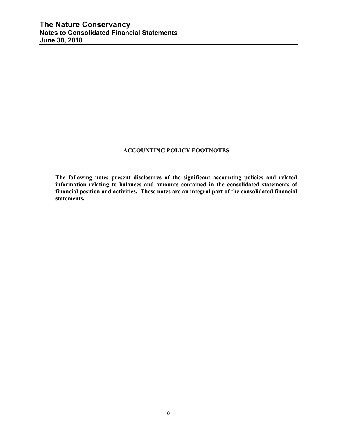# **ACCOUNTING POLICY FOOTNOTES**

**The following notes present disclosures of the significant accounting policies and related information relating to balances and amounts contained in the consolidated statements of financial position and activities. These notes are an integral part of the consolidated financial statements.**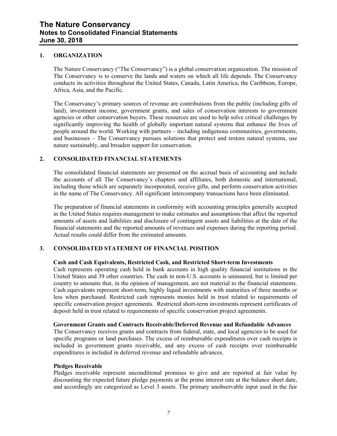## **1. ORGANIZATION**

The Nature Conservancy ("The Conservancy") is a global conservation organization. The mission of The Conservancy is to conserve the lands and waters on which all life depends. The Conservancy conducts its activities throughout the United States, Canada, Latin America, the Caribbean, Europe, Africa, Asia, and the Pacific.

The Conservancy's primary sources of revenue are contributions from the public (including gifts of land), investment income, government grants, and sales of conservation interests to government agencies or other conservation buyers. These resources are used to help solve critical challenges by significantly improving the health of globally important natural systems that enhance the lives of people around the world. Working with partners – including indigenous communities, governments, and businesses – The Conservancy pursues solutions that protect and restore natural systems, use nature sustainably, and broaden support for conservation.

# **2. CONSOLIDATED FINANCIAL STATEMENTS**

The consolidated financial statements are presented on the accrual basis of accounting and include the accounts of all The Conservancy's chapters and affiliates, both domestic and international, including those which are separately incorporated, receive gifts, and perform conservation activities in the name of The Conservancy. All significant intercompany transactions have been eliminated.

The preparation of financial statements in conformity with accounting principles generally accepted in the United States requires management to make estimates and assumptions that affect the reported amounts of assets and liabilities and disclosure of contingent assets and liabilities at the date of the financial statements and the reported amounts of revenues and expenses during the reporting period. Actual results could differ from the estimated amounts.

# **3. CONSOLIDATED STATEMENT OF FINANCIAL POSITION**

# **Cash and Cash Equivalents, Restricted Cash, and Restricted Short-term Investments**

Cash represents operating cash held in bank accounts in high quality financial institutions in the United States and 39 other countries. The cash in non-U.S. accounts is uninsured, but is limited per country to amounts that, in the opinion of management, are not material to the financial statements. Cash equivalents represent short-term, highly liquid investments with maturities of three months or less when purchased. Restricted cash represents monies held in trust related to requirements of specific conservation project agreements. Restricted short-term investments represent certificates of deposit held in trust related to requirements of specific conservation project agreements.

## **Government Grants and Contracts Receivable/Deferred Revenue and Refundable Advances**

The Conservancy receives grants and contracts from federal, state, and local agencies to be used for specific programs or land purchases. The excess of reimbursable expenditures over cash receipts is included in government grants receivable, and any excess of cash receipts over reimbursable expenditures is included in deferred revenue and refundable advances.

#### **Pledges Receivable**

Pledges receivable represent unconditional promises to give and are reported at fair value by discounting the expected future pledge payments at the prime interest rate at the balance sheet date, and accordingly are categorized as Level 3 assets. The primary unobservable input used in the fair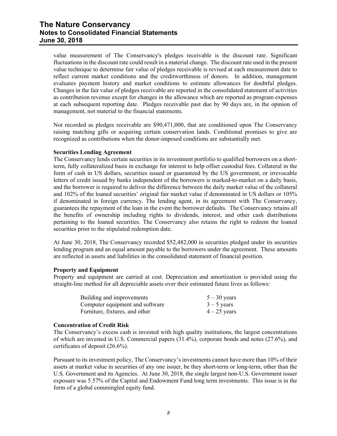value measurement of The Conservancy's pledges receivable is the discount rate. Significant fluctuations in the discount rate could result in a material change. The discount rate used in the present value technique to determine fair value of pledges receivable is revised at each measurement date to reflect current market conditions and the creditworthiness of donors. In addition, management evaluates payment history and market conditions to estimate allowances for doubtful pledges. Changes in the fair value of pledges receivable are reported in the consolidated statement of activities as contribution revenue except for changes in the allowance which are reported as program expenses at each subsequent reporting date. Pledges receivable past due by 90 days are, in the opinion of management, not material to the financial statements.

Not recorded as pledges receivable are \$90,471,000, that are conditioned upon The Conservancy raising matching gifts or acquiring certain conservation lands. Conditional promises to give are recognized as contributions when the donor-imposed conditions are substantially met.

#### **Securities Lending Agreement**

The Conservancy lends certain securities in its investment portfolio to qualified borrowers on a shortterm, fully collateralized basis in exchange for interest to help offset custodial fees. Collateral in the form of cash in US dollars, securities issued or guaranteed by the US government, or irrevocable letters of credit issued by banks independent of the borrowers is marked-to-market on a daily basis, and the borrower is required to deliver the difference between the daily market value of the collateral and 102% of the loaned securities' original fair market value if denominated in US dollars or 105% if denominated in foreign currency. The lending agent, in its agreement with The Conservancy, guarantees the repayment of the loan in the event the borrower defaults. The Conservancy retains all the benefits of ownership including rights to dividends, interest, and other cash distributions pertaining to the loaned securities. The Conservancy also retains the right to redeem the loaned securities prior to the stipulated redemption date.

At June 30, 2018, The Conservancy recorded \$52,482,000 in securities pledged under its securities lending program and an equal amount payable to the borrowers under the agreement. These amounts are reflected in assets and liabilities in the consolidated statement of financial position.

#### **Property and Equipment**

Property and equipment are carried at cost. Depreciation and amortization is provided using the straight-line method for all depreciable assets over their estimated future lives as follows:

| Building and improvements       | $5 - 30$ years |
|---------------------------------|----------------|
| Computer equipment and software | $3 - 5$ years  |
| Furniture, fixtures, and other  | $4 - 25$ years |

#### **Concentration of Credit Risk**

The Conservancy's excess cash is invested with high quality institutions, the largest concentrations of which are invested in U.S. Commercial papers (31.4%), corporate bonds and notes (27.6%), and certificates of deposit (26.6%).

Pursuant to its investment policy, The Conservancy's investments cannot have more than 10% of their assets at market value in securities of any one issuer, be they short-term or long-term, other than the U.S. Government and its Agencies. At June 30, 2018, the single largest non-U.S. Government issuer exposure was 5.57% of the Capital and Endowment Fund long term investments. This issue is in the form of a global commingled equity fund.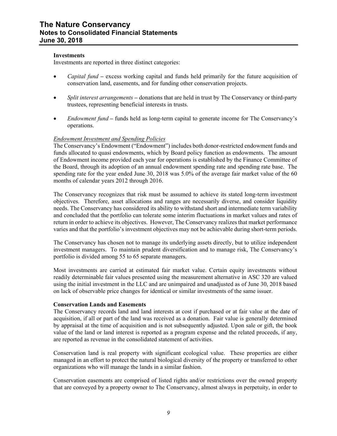## **Investments**

Investments are reported in three distinct categories:

- *Capital fund* excess working capital and funds held primarily for the future acquisition of conservation land, easements, and for funding other conservation projects.
- *Split interest arrangements* donations that are held in trust by The Conservancy or third-party trustees, representing beneficial interests in trusts.
- *Endowment fund* funds held as long-term capital to generate income for The Conservancy's operations.

# *Endowment Investment and Spending Policies*

The Conservancy's Endowment ("Endowment") includes both donor-restricted endowment funds and funds allocated to quasi endowments, which by Board policy function as endowments. The amount of Endowment income provided each year for operations is established by the Finance Committee of the Board, through its adoption of an annual endowment spending rate and spending rate base. The spending rate for the year ended June 30, 2018 was 5.0% of the average fair market value of the 60 months of calendar years 2012 through 2016.

The Conservancy recognizes that risk must be assumed to achieve its stated long-term investment objectives. Therefore, asset allocations and ranges are necessarily diverse, and consider liquidity needs. The Conservancy has considered its ability to withstand short and intermediate term variability and concluded that the portfolio can tolerate some interim fluctuations in market values and rates of return in order to achieve its objectives. However, The Conservancy realizes that market performance varies and that the portfolio's investment objectives may not be achievable during short-term periods.

The Conservancy has chosen not to manage its underlying assets directly, but to utilize independent investment managers. To maintain prudent diversification and to manage risk, The Conservancy's portfolio is divided among 55 to 65 separate managers.

Most investments are carried at estimated fair market value. Certain equity investments without readily determinable fair values presented using the measurement alternative in ASC 320 are valued using the initial investment in the LLC and are unimpaired and unadjusted as of June 30, 2018 based on lack of observable price changes for identical or similar investments of the same issuer.

#### **Conservation Lands and Easements**

The Conservancy records land and land interests at cost if purchased or at fair value at the date of acquisition, if all or part of the land was received as a donation. Fair value is generally determined by appraisal at the time of acquisition and is not subsequently adjusted. Upon sale or gift, the book value of the land or land interest is reported as a program expense and the related proceeds, if any, are reported as revenue in the consolidated statement of activities.

Conservation land is real property with significant ecological value. These properties are either managed in an effort to protect the natural biological diversity of the property or transferred to other organizations who will manage the lands in a similar fashion.

Conservation easements are comprised of listed rights and/or restrictions over the owned property that are conveyed by a property owner to The Conservancy, almost always in perpetuity, in order to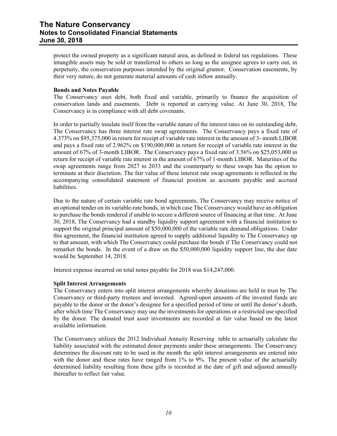protect the owned property as a significant natural area, as defined in federal tax regulations. These intangible assets may be sold or transferred to others so long as the assignee agrees to carry out, in perpetuity, the conservation purposes intended by the original grantor. Conservation easements, by their very nature, do not generate material amounts of cash inflow annually.

## **Bonds and Notes Payable**

The Conservancy uses debt, both fixed and variable, primarily to finance the acquisition of conservation lands and easements. Debt is reported at carrying value. At June 30, 2018, The Conservancy is in compliance with all debt covenants.

In order to partially insulate itself from the variable nature of the interest rates on its outstanding debt, The Conservancy has three interest rate swap agreements. The Conservancy pays a fixed rate of 4.373% on \$95,375,000 in return for receipt of variable rate interest in the amount of 3- month LIBOR and pays a fixed rate of 2.962% on \$190,000,000 in return for receipt of variable rate interest in the amount of 67% of 3-month LIBOR. The Conservancy pays a fixed rate of 3.56% on \$25,053,000 in return for receipt of variable rate interest in the amount of 67% of 1-month LIBOR. Maturities of the swap agreements range from 2027 to 2033 and the counterparty to these swaps has the option to terminate at their discretion. The fair value of these interest rate swap agreements is reflected in the accompanying consolidated statement of financial position as accounts payable and accrued liabilities.

Due to the nature of certain variable rate bond agreements, The Conservancy may receive notice of an optional tender on its variable-rate bonds, in which case The Conservancy would have an obligation to purchase the bonds tendered if unable to secure a different source of financing at that time. At June 30, 2018, The Conservancy had a standby liquidity support agreement with a financial institution to support the original principal amount of \$50,000,000 of the variable rate demand obligations. Under this agreement, the financial institution agreed to supply additional liquidity to The Conservancy up to that amount, with which The Conservancy could purchase the bonds if The Conservancy could not remarket the bonds. In the event of a draw on the \$50,000,000 liquidity support line, the due date would be September 14, 2018.

Interest expense incurred on total notes payable for 2018 was \$14,247,000.

#### **Split Interest Arrangements**

The Conservancy enters into split interest arrangements whereby donations are held in trust by The Conservancy or third-party trustees and invested. Agreed-upon amounts of the invested funds are payable to the donor or the donor's designee for a specified period of time or until the donor's death, after which time The Conservancy may use the investments for operations or a restricted use specified by the donor. The donated trust asset investments are recorded at fair value based on the latest available information.

The Conservancy utilizes the 2012 Individual Annuity Reserving table to actuarially calculate the liability associated with the estimated donor payments under these arrangements. The Conservancy determines the discount rate to be used in the month the split interest arrangements are entered into with the donor and these rates have ranged from 1% to 9%. The present value of the actuarially determined liability resulting from these gifts is recorded at the date of gift and adjusted annually thereafter to reflect fair value.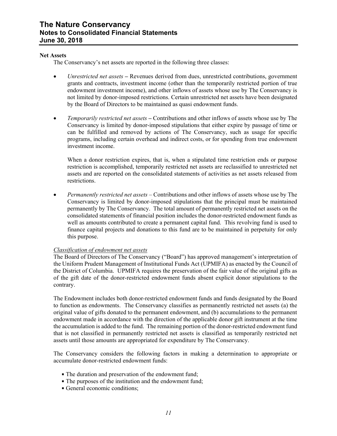## **Net Assets**

The Conservancy's net assets are reported in the following three classes:

- *Unrestricted net assets* Revenues derived from dues, unrestricted contributions, government grants and contracts, investment income (other than the temporarily restricted portion of true endowment investment income), and other inflows of assets whose use by The Conservancy is not limited by donor-imposed restrictions. Certain unrestricted net assets have been designated by the Board of Directors to be maintained as quasi endowment funds.
- Temporarily restricted net assets Contributions and other inflows of assets whose use by The Conservancy is limited by donor-imposed stipulations that either expire by passage of time or can be fulfilled and removed by actions of The Conservancy, such as usage for specific programs, including certain overhead and indirect costs, or for spending from true endowment investment income.

When a donor restriction expires, that is, when a stipulated time restriction ends or purpose restriction is accomplished, temporarily restricted net assets are reclassified to unrestricted net assets and are reported on the consolidated statements of activities as net assets released from restrictions.

 *Permanently restricted net assets* – Contributions and other inflows of assets whose use by The Conservancy is limited by donor-imposed stipulations that the principal must be maintained permanently by The Conservancy. The total amount of permanently restricted net assets on the consolidated statements of financial position includes the donor-restricted endowment funds as well as amounts contributed to create a permanent capital fund. This revolving fund is used to finance capital projects and donations to this fund are to be maintained in perpetuity for only this purpose.

#### *Classification of endowment net assets*

The Board of Directors of The Conservancy ("Board") has approved management's interpretation of the Uniform Prudent Management of Institutional Funds Act (UPMIFA) as enacted by the Council of the District of Columbia. UPMIFA requires the preservation of the fair value of the original gifts as of the gift date of the donor-restricted endowment funds absent explicit donor stipulations to the contrary.

The Endowment includes both donor-restricted endowment funds and funds designated by the Board to function as endowments. The Conservancy classifies as permanently restricted net assets (a) the original value of gifts donated to the permanent endowment, and (b) accumulations to the permanent endowment made in accordance with the direction of the applicable donor gift instrument at the time the accumulation is added to the fund. The remaining portion of the donor-restricted endowment fund that is not classified in permanently restricted net assets is classified as temporarily restricted net assets until those amounts are appropriated for expenditure by The Conservancy.

The Conservancy considers the following factors in making a determination to appropriate or accumulate donor-restricted endowment funds:

- The duration and preservation of the endowment fund;
- The purposes of the institution and the endowment fund;
- General economic conditions: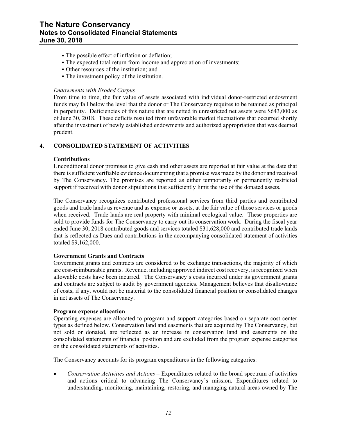- The possible effect of inflation or deflation;
- The expected total return from income and appreciation of investments;
- Other resources of the institution; and
- The investment policy of the institution.

# *Endowments with Eroded Corpus*

From time to time, the fair value of assets associated with individual donor-restricted endowment funds may fall below the level that the donor or The Conservancy requires to be retained as principal in perpetuity. Deficiencies of this nature that are netted in unrestricted net assets were \$643,000 as of June 30, 2018. These deficits resulted from unfavorable market fluctuations that occurred shortly after the investment of newly established endowments and authorized appropriation that was deemed prudent.

# **4. CONSOLIDATED STATEMENT OF ACTIVITIES**

#### **Contributions**

Unconditional donor promises to give cash and other assets are reported at fair value at the date that there is sufficient verifiable evidence documenting that a promise was made by the donor and received by The Conservancy. The promises are reported as either temporarily or permanently restricted support if received with donor stipulations that sufficiently limit the use of the donated assets.

The Conservancy recognizes contributed professional services from third parties and contributed goods and trade lands as revenue and as expense or assets, at the fair value of those services or goods when received. Trade lands are real property with minimal ecological value. These properties are sold to provide funds for The Conservancy to carry out its conservation work. During the fiscal year ended June 30, 2018 contributed goods and services totaled \$31,628,000 and contributed trade lands that is reflected as Dues and contributions in the accompanying consolidated statement of activities totaled \$9,162,000.

#### **Government Grants and Contracts**

Government grants and contracts are considered to be exchange transactions, the majority of which are cost-reimbursable grants. Revenue, including approved indirect cost recovery, is recognized when allowable costs have been incurred. The Conservancy's costs incurred under its government grants and contracts are subject to audit by government agencies. Management believes that disallowance of costs, if any, would not be material to the consolidated financial position or consolidated changes in net assets of The Conservancy.

#### **Program expense allocation**

Operating expenses are allocated to program and support categories based on separate cost center types as defined below. Conservation land and easements that are acquired by The Conservancy, but not sold or donated, are reflected as an increase in conservation land and easements on the consolidated statements of financial position and are excluded from the program expense categories on the consolidated statements of activities.

The Conservancy accounts for its program expenditures in the following categories:

• Conservation *Activities and Actions* – Expenditures related to the broad spectrum of activities and actions critical to advancing The Conservancy's mission. Expenditures related to understanding, monitoring, maintaining, restoring, and managing natural areas owned by The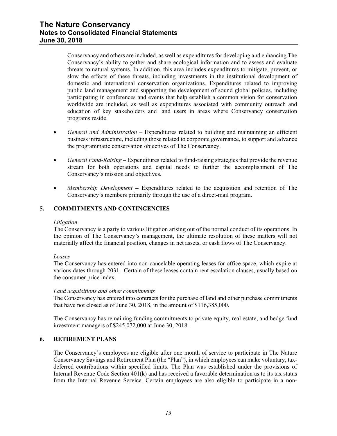Conservancy and others are included, as well as expenditures for developing and enhancing The Conservancy's ability to gather and share ecological information and to assess and evaluate threats to natural systems. In addition, this area includes expenditures to mitigate, prevent, or slow the effects of these threats, including investments in the institutional development of domestic and international conservation organizations. Expenditures related to improving public land management and supporting the development of sound global policies, including participating in conferences and events that help establish a common vision for conservation worldwide are included, as well as expenditures associated with community outreach and education of key stakeholders and land users in areas where Conservancy conservation programs reside.

- *General and Administration* Expenditures related to building and maintaining an efficient business infrastructure, including those related to corporate governance, to support and advance the programmatic conservation objectives of The Conservancy.
- General Fund-Raising Expenditures related to fund-raising strategies that provide the revenue stream for both operations and capital needs to further the accomplishment of The Conservancy's mission and objectives.
- Membership Development Expenditures related to the acquisition and retention of The Conservancy's members primarily through the use of a direct-mail program.

# **5. COMMITMENTS AND CONTINGENCIES**

#### *Litigation*

The Conservancy is a party to various litigation arising out of the normal conduct of its operations. In the opinion of The Conservancy's management, the ultimate resolution of these matters will not materially affect the financial position, changes in net assets, or cash flows of The Conservancy.

#### *Leases*

The Conservancy has entered into non-cancelable operating leases for office space, which expire at various dates through 2031. Certain of these leases contain rent escalation clauses, usually based on the consumer price index.

#### *Land acquisitions and other commitments*

The Conservancy has entered into contracts for the purchase of land and other purchase commitments that have not closed as of June 30, 2018, in the amount of \$116,385,000.

The Conservancy has remaining funding commitments to private equity, real estate, and hedge fund investment managers of \$245,072,000 at June 30, 2018.

# **6. RETIREMENT PLANS**

The Conservancy's employees are eligible after one month of service to participate in The Nature Conservancy Savings and Retirement Plan (the "Plan"), in which employees can make voluntary, taxdeferred contributions within specified limits. The Plan was established under the provisions of Internal Revenue Code Section 401(k) and has received a favorable determination as to its tax status from the Internal Revenue Service. Certain employees are also eligible to participate in a non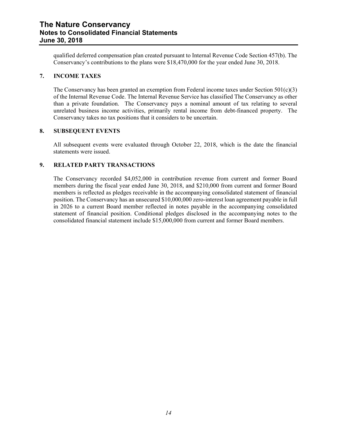qualified deferred compensation plan created pursuant to Internal Revenue Code Section 457(b). The Conservancy's contributions to the plans were \$18,470,000 for the year ended June 30, 2018.

# **7. INCOME TAXES**

The Conservancy has been granted an exemption from Federal income taxes under Section  $501(c)(3)$ of the Internal Revenue Code. The Internal Revenue Service has classified The Conservancy as other than a private foundation. The Conservancy pays a nominal amount of tax relating to several unrelated business income activities, primarily rental income from debt-financed property. The Conservancy takes no tax positions that it considers to be uncertain.

# **8. SUBSEQUENT EVENTS**

All subsequent events were evaluated through October 22, 2018, which is the date the financial statements were issued.

# **9. RELATED PARTY TRANSACTIONS**

The Conservancy recorded \$4,052,000 in contribution revenue from current and former Board members during the fiscal year ended June 30, 2018, and \$210,000 from current and former Board members is reflected as pledges receivable in the accompanying consolidated statement of financial position. The Conservancy has an unsecured \$10,000,000 zero-interest loan agreement payable in full in 2026 to a current Board member reflected in notes payable in the accompanying consolidated statement of financial position. Conditional pledges disclosed in the accompanying notes to the consolidated financial statement include \$15,000,000 from current and former Board members.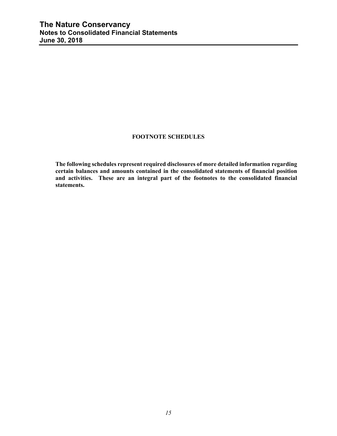# **FOOTNOTE SCHEDULES**

**The following schedules represent required disclosures of more detailed information regarding certain balances and amounts contained in the consolidated statements of financial position and activities. These are an integral part of the footnotes to the consolidated financial statements.**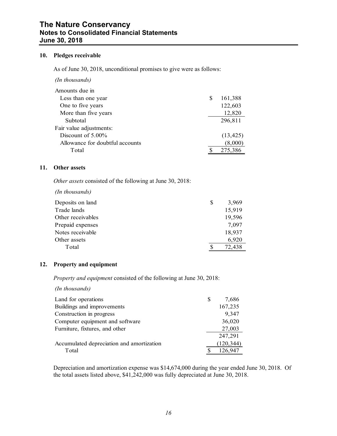# **10. Pledges receivable**

As of June 30, 2018, unconditional promises to give were as follows:

| S | 161,388   |
|---|-----------|
|   | 122,603   |
|   | 12,820    |
|   | 296,811   |
|   |           |
|   | (13, 425) |
|   | (8,000)   |
|   | 275,386   |
|   |           |

# **11. Other assets**

*Other assets* consisted of the following at June 30, 2018:

| (In thousands)    |             |  |
|-------------------|-------------|--|
| Deposits on land  | 3,969<br>\$ |  |
| Trade lands       | 15,919      |  |
| Other receivables | 19,596      |  |
| Prepaid expenses  | 7,097       |  |
| Notes receivable  | 18,937      |  |
| Other assets      | 6,920       |  |
| Total             | 72,438      |  |

# **12. Property and equipment**

*Property and equipment* consisted of the following at June 30, 2018:

|  | (In thousands) |
|--|----------------|
|--|----------------|

| Land for operations                       | S | 7,686      |
|-------------------------------------------|---|------------|
| Buildings and improvements                |   | 167,235    |
| Construction in progress                  |   | 9,347      |
| Computer equipment and software           |   | 36,020     |
| Furniture, fixtures, and other            |   | 27,003     |
|                                           |   | 247,291    |
| Accumulated depreciation and amortization |   | (120, 344) |
| Total                                     |   | 126,947    |
|                                           |   |            |

Depreciation and amortization expense was \$14,674,000 during the year ended June 30, 2018. Of the total assets listed above, \$41,242,000 was fully depreciated at June 30, 2018.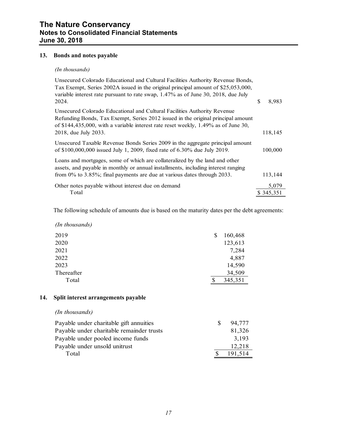# **13. Bonds and notes payable**

## *(In thousands)*

| Unsecured Colorado Educational and Cultural Facilities Authority Revenue Bonds,<br>Tax Exempt, Series 2002A issued in the original principal amount of \$25,053,000,<br>variable interest rate pursuant to rate swap, 1.47% as of June 30, 2018, due July<br>2024.            | S | 8,983              |
|-------------------------------------------------------------------------------------------------------------------------------------------------------------------------------------------------------------------------------------------------------------------------------|---|--------------------|
| Unsecured Colorado Educational and Cultural Facilities Authority Revenue<br>Refunding Bonds, Tax Exempt, Series 2012 issued in the original principal amount<br>of \$144,435,000, with a variable interest rate reset weekly, $1.49\%$ as of June 30,<br>2018, due July 2033. |   | 118,145            |
| Unsecured Taxable Revenue Bonds Series 2009 in the aggregate principal amount<br>of \$100,000,000 issued July 1, 2009, fixed rate of 6.30% due July 2019.                                                                                                                     |   | 100,000            |
| Loans and mortgages, some of which are collateralized by the land and other<br>assets, and payable in monthly or annual installments, including interest ranging<br>from $0\%$ to 3.85%; final payments are due at various dates through 2033.                                |   | 113,144            |
| Other notes payable without interest due on demand<br>Total                                                                                                                                                                                                                   |   | 5,079<br>\$345.351 |

The following schedule of amounts due is based on the maturity dates per the debt agreements:

| (In thousands) |   |         |
|----------------|---|---------|
| 2019           | S | 160,468 |
| 2020           |   | 123,613 |
| 2021           |   | 7,284   |
| 2022           |   | 4,887   |
| 2023           |   | 14,590  |
| Thereafter     |   | 34,509  |
| Total          |   | 345,351 |

# **14. Split interest arrangements payable**

## *(In thousands)*

| Payable under charitable gift annuities   | -SS | 94.777  |
|-------------------------------------------|-----|---------|
| Payable under charitable remainder trusts |     | 81,326  |
| Payable under pooled income funds         |     | 3,193   |
| Payable under unsold unitrust             |     | 12,218  |
| Total                                     |     | 191,514 |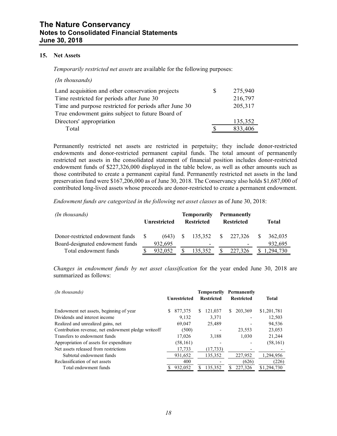# **15. Net Assets**

 *Temporarily restricted net assets* are available for the following purposes:

#### *(In thousands)*

| Land acquisition and other conservation projects      | <sup>S</sup> | 275,940 |
|-------------------------------------------------------|--------------|---------|
| Time restricted for periods after June 30             |              | 216,797 |
| Time and purpose restricted for periods after June 30 |              | 205,317 |
| True endowment gains subject to future Board of       |              |         |
| Directors' appropriation                              |              | 135,352 |
| Total                                                 |              | 833,406 |

Permanently restricted net assets are restricted in perpetuity; they include donor-restricted endowments and donor-restricted permanent capital funds. The total amount of permanently restricted net assets in the consolidated statement of financial position includes donor-restricted endowment funds of \$227,326,000 displayed in the table below, as well as other amounts such as those contributed to create a permanent capital fund. Permanently restricted net assets in the land preservation fund were \$167,206,000 as of June 30, 2018. The Conservancy also holds \$1,687,000 of contributed long-lived assets whose proceeds are donor-restricted to create a permanent endowment.

*Endowment funds are categorized in the following net asset classes* as of June 30, 2018:

| (In thousands)                                                       | Unrestricted |                  |              | <b>Temporarily</b><br><b>Restricted</b> | <b>Permanently</b><br><b>Restricted</b> |    | Total              |  |  |
|----------------------------------------------------------------------|--------------|------------------|--------------|-----------------------------------------|-----------------------------------------|----|--------------------|--|--|
| Donor-restricted endowment funds<br>Board-designated endowment funds |              | (643)<br>932,695 | <sup>S</sup> | 135,352<br>$\overline{\phantom{a}}$     | $\frac{\$}{227,326}$                    | S. | 362,035<br>932.695 |  |  |
| Total endowment funds                                                |              | 932.052          |              | 135.352                                 | 227,326                                 |    | 1,294,730          |  |  |

*Changes in endowment funds by net asset classification* for the year ended June 30, 2018 are summarized as follows:

| (In thousands)                                       | Unrestricted | <b>Restricted</b> | <b>Temporarily Permanently</b><br><b>Restricted</b> | <b>Total</b> |
|------------------------------------------------------|--------------|-------------------|-----------------------------------------------------|--------------|
| Endowment net assets, beginning of year              | S<br>877,375 | 121,037<br>S      | 203.369<br>S.                                       | \$1,201,781  |
| Dividends and interest income                        | 9,132        | 3,371             |                                                     | 12,503       |
| Realized and unrealized gains, net                   | 69.047       | 25.489            |                                                     | 94,536       |
| Contribution revenue, net endowment pledge write off | (500)        |                   | 23,553                                              | 23,053       |
| Transfers to endowment funds                         | 17,026       | 3,188             | 1,030                                               | 21,244       |
| Appropriation of assets for expenditure              | (58, 161)    |                   |                                                     | (58, 161)    |
| Net assets released from restrictions                | 17,733       | (17, 733)         |                                                     |              |
| Subtotal endowment funds                             | 931,652      | 135,352           | 227,952                                             | 1,294,956    |
| Reclassification of net assets                       | 400          |                   | (626)                                               | (226)        |
| Total endowment funds                                | 932.052      | 135.352           | 227,326<br>S                                        | \$1,294,730  |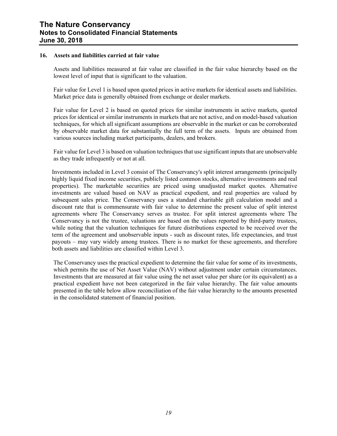#### **16. Assets and liabilities carried at fair value**

Assets and liabilities measured at fair value are classified in the fair value hierarchy based on the lowest level of input that is significant to the valuation.

Fair value for Level 1 is based upon quoted prices in active markets for identical assets and liabilities. Market price data is generally obtained from exchange or dealer markets.

Fair value for Level 2 is based on quoted prices for similar instruments in active markets, quoted prices for identical or similar instruments in markets that are not active, and on model-based valuation techniques, for which all significant assumptions are observable in the market or can be corroborated by observable market data for substantially the full term of the assets. Inputs are obtained from various sources including market participants, dealers, and brokers.

Fair value for Level 3 is based on valuation techniques that use significant inputs that are unobservable as they trade infrequently or not at all.

Investments included in Level 3 consist of The Conservancy's split interest arrangements (principally highly liquid fixed income securities, publicly listed common stocks, alternative investments and real properties). The marketable securities are priced using unadjusted market quotes. Alternative investments are valued based on NAV as practical expedient, and real properties are valued by subsequent sales price. The Conservancy uses a standard charitable gift calculation model and a discount rate that is commensurate with fair value to determine the present value of split interest agreements where The Conservancy serves as trustee. For split interest agreements where The Conservancy is not the trustee, valuations are based on the values reported by third-party trustees, while noting that the valuation techniques for future distributions expected to be received over the term of the agreement and unobservable inputs - such as discount rates, life expectancies, and trust payouts – may vary widely among trustees. There is no market for these agreements, and therefore both assets and liabilities are classified within Level 3.

The Conservancy uses the practical expedient to determine the fair value for some of its investments, which permits the use of Net Asset Value (NAV) without adjustment under certain circumstances. Investments that are measured at fair value using the net asset value per share (or its equivalent) as a practical expedient have not been categorized in the fair value hierarchy. The fair value amounts presented in the table below allow reconciliation of the fair value hierarchy to the amounts presented in the consolidated statement of financial position.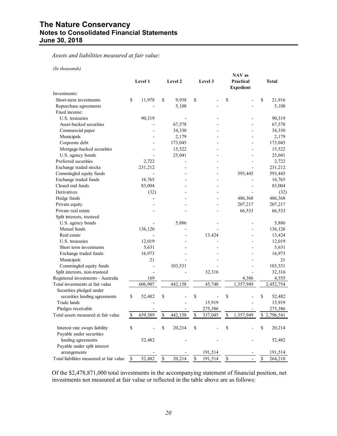# **The Nature Conservancy Notes to Consolidated Financial Statements June 30, 2018**

# *Assets and liabilities measured at fair value:*

*(In thousands)*

|                                              |               | Level 1        | Level 2       | Level 3              | NAV as<br>Practical<br><b>Expedient</b> | <b>Total</b> |           |
|----------------------------------------------|---------------|----------------|---------------|----------------------|-----------------------------------------|--------------|-----------|
| Investments:                                 |               |                |               |                      |                                         |              |           |
| Short-term investments                       | <sup>\$</sup> | 11,978         | \$<br>9,938   | \$                   | \$                                      | \$           | 21,916    |
| Repurchase agreements                        |               |                | 5,108         |                      |                                         |              | 5,108     |
| Fixed income:                                |               |                |               |                      |                                         |              |           |
| U.S. treasuries                              |               | 90,319         |               |                      |                                         |              | 90,319    |
| Asset-backed securities                      |               |                | 67,578        |                      |                                         |              | 67,578    |
| Commercial paper                             |               |                | 34,330        |                      |                                         |              | 34,330    |
| Municipals                                   |               |                | 2,179         |                      |                                         |              | 2,179     |
| Corporate debt                               |               |                | 173,045       |                      |                                         |              | 173,045   |
| Mortgage-backed securities                   |               |                | 15,522        |                      |                                         |              | 15,522    |
| U.S. agency bonds                            |               |                | 25,041        |                      |                                         |              | 25,041    |
| Preferred securities                         |               | 2,722          |               |                      |                                         |              | 2,722     |
| Exchange traded stocks                       |               | 231,212        |               |                      |                                         |              | 231,212   |
| Commingled equity funds                      |               | $\overline{a}$ |               |                      | 593,445                                 |              | 593,445   |
| Exchange traded funds                        |               | 16,765         |               |                      |                                         |              | 16,765    |
| Closed end funds                             |               | 83,004         |               |                      |                                         |              | 83,004    |
| Derivatives                                  |               | (32)           |               |                      |                                         |              | (32)      |
| Hedge funds                                  |               |                |               |                      | 486,368                                 |              | 486,368   |
| Private equity                               |               |                |               |                      | 207,217                                 |              | 207,217   |
| Private real estate                          |               |                |               |                      | 66,533                                  |              | 66,533    |
| Split interests, trusteed                    |               |                |               |                      |                                         |              |           |
| U.S. agency bonds                            |               |                | 5,886         |                      |                                         |              | 5,886     |
| Mutual funds                                 |               | 136,126        |               |                      |                                         |              | 136,126   |
| Real estate                                  |               |                |               | 13,424               |                                         |              | 13,424    |
| U.S. treasuries                              |               | 12,019         |               |                      |                                         |              | 12,019    |
| Short term investments                       |               | 5,631          |               |                      |                                         |              | 5,631     |
| Exchange traded funds                        |               | 16,973         |               |                      |                                         |              | 16,973    |
| Municipals                                   |               | 21             |               |                      |                                         |              | 21        |
| Commingled equity funds                      |               |                | 103,531       |                      |                                         |              | 103,531   |
| Split interests, non-trusteed                |               |                |               | 32,316               |                                         |              | 32,316    |
| Registered investments - Australia           |               | 169            |               |                      | 4,386                                   |              | 4,555     |
| Total investments at fair value              |               | 606,907        | 442,158       | 45,740               | 1,357,949                               |              | 2,452,754 |
| Securities pledged under                     |               |                |               |                      |                                         |              |           |
| securities lending agreements                | \$            | 52,482         | \$            | \$<br>$\overline{a}$ | \$                                      | \$           | 52,482    |
| Trade lands                                  |               |                |               | 15,919               |                                         |              | 15,919    |
| Pledges receivable                           |               |                |               | 275,386              |                                         |              | 275,386   |
| Total assets measured at fair value          | \$            | 659,389        | \$<br>442,158 | \$<br>337,045        | \$<br>1,357,949                         | \$           | 2,796,541 |
| Interest rate swaps liability                | \$            |                | \$<br>20,214  | \$                   | \$                                      | \$           | 20,214    |
| Payable under securities                     |               |                |               |                      |                                         |              |           |
| lending agreements                           |               | 52,482         |               |                      |                                         |              | 52,482    |
| Payable under split interest<br>arrangements |               |                |               | 191,514              |                                         |              | 191,514   |
| Total liabilities measured at fair value     | \$            | 52,482         | \$<br>20,214  | \$<br>191,514        | \$                                      | \$           | 264,210   |
|                                              |               |                |               |                      |                                         |              |           |

Of the \$2,478,871,000 total investments in the accompanying statement of financial position, net investments not measured at fair value or reflected in the table above are as follows: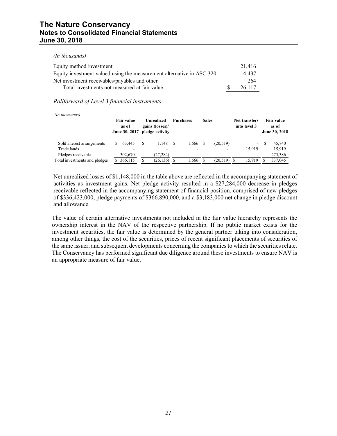# **The Nature Conservancy Notes to Consolidated Financial Statements June 30, 2018**

#### *(In thousands)*

| Equity method investment                                              | 21,416 |
|-----------------------------------------------------------------------|--------|
| Equity investment valued using the measurement alternative in ASC 320 | 4.437  |
| Net investment receivables/payables and other                         | 264    |
| Total investments not measured at fair value                          | 26.117 |

# *Rollforward of Level 3 financial instruments*:

*(In thousands)*

|                               | <b>Fair value</b><br>as of<br><b>June 30, 2017</b> |         | <b>Unrealized</b><br>gains (losses)/<br>pledge activity |           | <b>Purchases</b> |       | <b>Sales</b> |           | <b>Net transfers</b><br>into level 3 |                          | <b>Fair value</b><br>as of<br>June 30, 2018 |         |
|-------------------------------|----------------------------------------------------|---------|---------------------------------------------------------|-----------|------------------|-------|--------------|-----------|--------------------------------------|--------------------------|---------------------------------------------|---------|
| Split interest arrangements   |                                                    | 63.445  | \$                                                      | 1.148     | -S               | 1.666 |              | (20, 519) |                                      | ۰                        | S                                           | 45.740  |
| Trade lands                   |                                                    | -       |                                                         |           |                  | ۰     |              | -         |                                      | 15.919                   |                                             | 15,919  |
| Pledges receivable            |                                                    | 302,670 |                                                         | (27, 284) |                  |       |              |           |                                      | $\overline{\phantom{a}}$ |                                             | 275,386 |
| Total investments and pledges |                                                    | 366,115 |                                                         | (26, 136) |                  | 1.666 |              | (20, 519) |                                      | 15.919                   |                                             | 337,045 |

Net unrealized losses of \$1,148,000 in the table above are reflected in the accompanying statement of activities as investment gains. Net pledge activity resulted in a \$27,284,000 decrease in pledges receivable reflected in the accompanying statement of financial position, comprised of new pledges of \$336,423,000, pledge payments of \$366,890,000, and a \$3,183,000 net change in pledge discount and allowance.

The value of certain alternative investments not included in the fair value hierarchy represents the ownership interest in the NAV of the respective partnership. If no public market exists for the investment securities, the fair value is determined by the general partner taking into consideration, among other things, the cost of the securities, prices of recent significant placements of securities of the same issuer, and subsequent developments concerning the companies to which the securities relate. The Conservancy has performed significant due diligence around these investments to ensure NAV is an appropriate measure of fair value.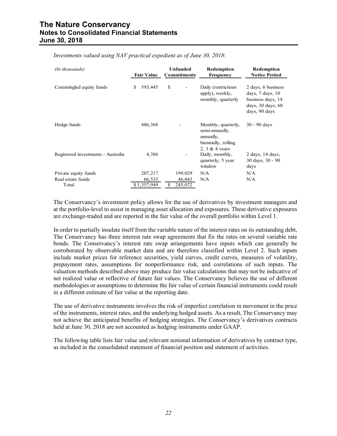| (In thousands)                     | <b>Fair Value</b> | <b>Unfunded</b><br><b>Commitments</b> | Redemption<br><b>Frequency</b>                                            | Redemption<br><b>Notice Period</b>                                                                        |  |  |  |
|------------------------------------|-------------------|---------------------------------------|---------------------------------------------------------------------------|-----------------------------------------------------------------------------------------------------------|--|--|--|
| Commingled equity funds            | \$<br>593,445     | \$                                    | Daily (restrictions)<br>apply), weekly,<br>monthly, quarterly             | 2 days, 6 business<br>days, $7$ days, $10$<br>business days, 14<br>days, $30$ days, $60$<br>days, 90 days |  |  |  |
| Hedge funds                        | 486,368           |                                       | Monthly, quarterly,<br>semi-annually,<br>annually,<br>biennially, rolling | $30 - 90$ days                                                                                            |  |  |  |
| Registered investments - Australia | 4,386             | $\overline{\phantom{a}}$              | 2, $3 \& 4$ years<br>Daily, monthly,<br>quarterly, 5 year<br>window       | $2$ days, 14 days,<br>30 days, 30 - 90<br>days                                                            |  |  |  |
| Private equity funds               | 207,217           | 199,029                               | N/A                                                                       | N/A                                                                                                       |  |  |  |
| Real estate funds                  | 66,533            | 46,043                                | N/A                                                                       | N/A                                                                                                       |  |  |  |
| Total                              | \$1,357,949       | \$<br>245,072                         |                                                                           |                                                                                                           |  |  |  |

*Investments valued using NAV practical expedient as of June 30, 2018*:

The Conservancy's investment policy allows for the use of derivatives by investment managers and at the portfolio-level to assist in managing asset allocation and exposures. These derivative exposures are exchange-traded and are reported in the fair value of the overall portfolio within Level 1.

In order to partially insulate itself from the variable nature of the interest rates on its outstanding debt, The Conservancy has three interest rate swap agreements that fix the rates on several variable rate bonds. The Conservancy's interest rate swap arrangements have inputs which can generally be corroborated by observable market data and are therefore classified within Level 2. Such inputs include market prices for reference securities, yield curves, credit curves, measures of volatility, prepayment rates, assumptions for nonperformance risk, and correlations of such inputs. The valuation methods described above may produce fair value calculations that may not be indicative of net realized value or reflective of future fair values. The Conservancy believes the use of different methodologies or assumptions to determine the fair value of certain financial instruments could result in a different estimate of fair value at the reporting date.

The use of derivative instruments involves the risk of imperfect correlation in movement in the price of the instruments, interest rates, and the underlying hedged assets. As a result, The Conservancy may not achieve the anticipated benefits of hedging strategies. The Conservancy's derivatives contracts held at June 30, 2018 are not accounted as hedging instruments under GAAP.

The following table lists fair value and relevant notional information of derivatives by contract type, as included in the consolidated statement of financial position and statement of activities.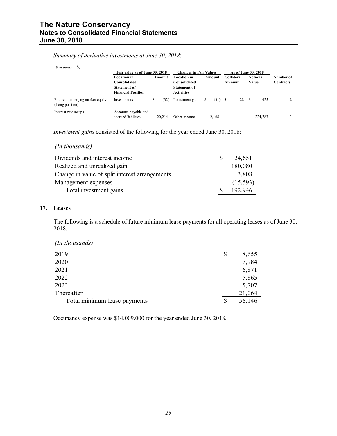*Summary of derivative investments at June 30, 2018*:

#### *(\$ in thousands)*

|                                                     | Fair value as of June 30, 2018                                                  |   |        | <b>Changes in Fair Values</b>                                           | As of June 30, 2018 |                             |                          |                        |
|-----------------------------------------------------|---------------------------------------------------------------------------------|---|--------|-------------------------------------------------------------------------|---------------------|-----------------------------|--------------------------|------------------------|
|                                                     | Location in<br>Consolidated<br><b>Statement of</b><br><b>Financial Position</b> |   | Amount | Location in<br>Consolidated<br><b>Statement of</b><br><b>Activities</b> | Amount              | <b>Collateral</b><br>Amount | <b>Notional</b><br>Value | Number of<br>Contracts |
| Futures - emerging market equity<br>(Long position) | Investments                                                                     | S | (32)   | Investment gain                                                         | $(31)$ \$           | 28                          | 425                      | 8                      |
| Interest rate swaps                                 | Accounts payable and<br>accrued liabilities                                     |   | 20.214 | Other income                                                            | 12.168              |                             | 224.783                  |                        |

*Investment gains* consisted of the following for the year ended June 30, 2018:

# *(In thousands)*

| Dividends and interest income                  | 24,651   |
|------------------------------------------------|----------|
| Realized and unrealized gain                   | 180,080  |
| Change in value of split interest arrangements | 3,808    |
| Management expenses                            | (15,593) |
| Total investment gains                         | 192,946  |

## **17. Leases**

The following is a schedule of future minimum lease payments for all operating leases as of June 30, 2018:

| (In thousands)               |             |
|------------------------------|-------------|
| 2019                         | \$<br>8,655 |
| 2020                         | 7,984       |
| 2021                         | 6,871       |
| 2022                         | 5,865       |
| 2023                         | 5,707       |
| Thereafter                   | 21,064      |
| Total minimum lease payments | 56,146      |

Occupancy expense was \$14,009,000 for the year ended June 30, 2018.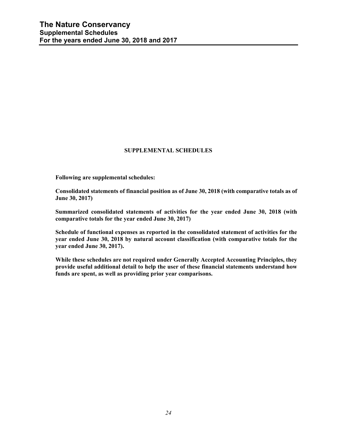# **SUPPLEMENTAL SCHEDULES**

**Following are supplemental schedules:** 

**Consolidated statements of financial position as of June 30, 2018 (with comparative totals as of June 30, 2017)** 

**Summarized consolidated statements of activities for the year ended June 30, 2018 (with comparative totals for the year ended June 30, 2017)** 

**Schedule of functional expenses as reported in the consolidated statement of activities for the year ended June 30, 2018 by natural account classification (with comparative totals for the year ended June 30, 2017).** 

**While these schedules are not required under Generally Accepted Accounting Principles, they provide useful additional detail to help the user of these financial statements understand how funds are spent, as well as providing prior year comparisons.**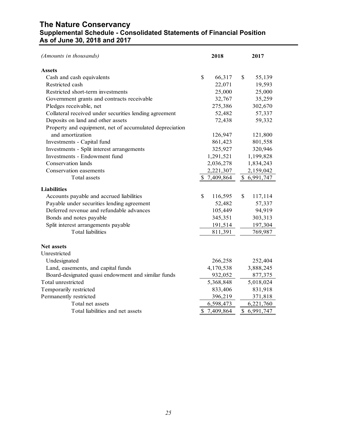# **The Nature Conservancy Supplemental Schedule - Consolidated Statements of Financial Position As of June 30, 2018 and 2017**

| (Amounts in thousands)                                  | 2018          | 2017          |
|---------------------------------------------------------|---------------|---------------|
| <b>Assets</b>                                           |               |               |
| Cash and cash equivalents                               | \$<br>66,317  | \$<br>55,139  |
| Restricted cash                                         | 22,071        | 19,593        |
| Restricted short-term investments                       | 25,000        | 25,000        |
| Government grants and contracts receivable              | 32,767        | 35,259        |
| Pledges receivable, net                                 | 275,386       | 302,670       |
| Collateral received under securities lending agreement  | 52,482        | 57,337        |
| Deposits on land and other assets                       | 72,438        | 59,332        |
| Property and equipment, net of accumulated depreciation |               |               |
| and amortization                                        | 126,947       | 121,800       |
| Investments - Capital fund                              | 861,423       | 801,558       |
| Investments - Split interest arrangements               | 325,927       | 320,946       |
| Investments - Endowment fund                            | 1,291,521     | 1,199,828     |
| Conservation lands                                      | 2,036,278     | 1,834,243     |
| Conservation easements                                  | 2,221,307     | 2,159,042     |
| Total assets                                            | \$7,409,864   | \$6,991,747   |
| <b>Liabilities</b>                                      |               |               |
| Accounts payable and accrued liabilities                | \$<br>116,595 | \$<br>117,114 |
| Payable under securities lending agreement              | 52,482        | 57,337        |
| Deferred revenue and refundable advances                | 105,449       | 94,919        |
| Bonds and notes payable                                 | 345,351       | 303,313       |
| Split interest arrangements payable                     | 191,514       | 197,304       |
| <b>Total liabilities</b>                                | 811,391       | 769,987       |
|                                                         |               |               |
| <b>Net assets</b>                                       |               |               |
| Unrestricted                                            |               |               |
| Undesignated                                            | 266,258       | 252,404       |
| Land, easements, and capital funds                      | 4,170,538     | 3,888,245     |
| Board-designated quasi endowment and similar funds      | 932,052       | 877,375       |
| Total unrestricted                                      | 5,368,848     | 5,018,024     |
| Temporarily restricted                                  | 833,406       | 831,918       |
| Permanently restricted                                  | 396,219       | 371,818       |
| Total net assets                                        | 6,598,473     | 6,221,760     |
| Total liabilities and net assets                        | \$7,409,864   | \$6,991,747   |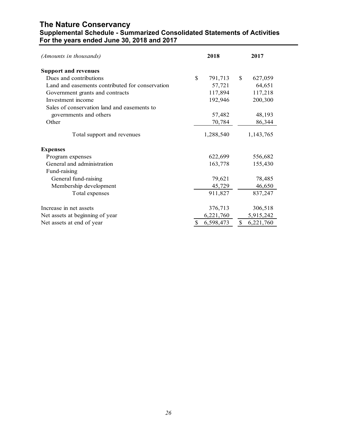# **The Nature Conservancy Supplemental Schedule - Summarized Consolidated Statements of Activities For the years ended June 30, 2018 and 2017**

| (Amounts in thousands)                          | 2018            | 2017 |           |  |
|-------------------------------------------------|-----------------|------|-----------|--|
| <b>Support and revenues</b>                     |                 |      |           |  |
| Dues and contributions                          | \$<br>791,713   | \$   | 627,059   |  |
| Land and easements contributed for conservation | 57,721          |      | 64,651    |  |
| Government grants and contracts                 | 117,894         |      | 117,218   |  |
| Investment income                               | 192,946         |      | 200,300   |  |
| Sales of conservation land and easements to     |                 |      |           |  |
| governments and others                          | 57,482          |      | 48,193    |  |
| Other                                           | 70,784          |      | 86,344    |  |
| Total support and revenues                      | 1,288,540       |      | 1,143,765 |  |
| <b>Expenses</b>                                 |                 |      |           |  |
| Program expenses                                | 622,699         |      | 556,682   |  |
| General and administration                      | 163,778         |      | 155,430   |  |
| Fund-raising                                    |                 |      |           |  |
| General fund-raising                            | 79,621          |      | 78,485    |  |
| Membership development                          | 45,729          |      | 46,650    |  |
| Total expenses                                  | 911,827         |      | 837,247   |  |
| Increase in net assets                          | 376,713         |      | 306,518   |  |
| Net assets at beginning of year                 | 6,221,760       |      | 5,915,242 |  |
| Net assets at end of year                       | \$<br>6,598,473 | \$   | 6,221,760 |  |